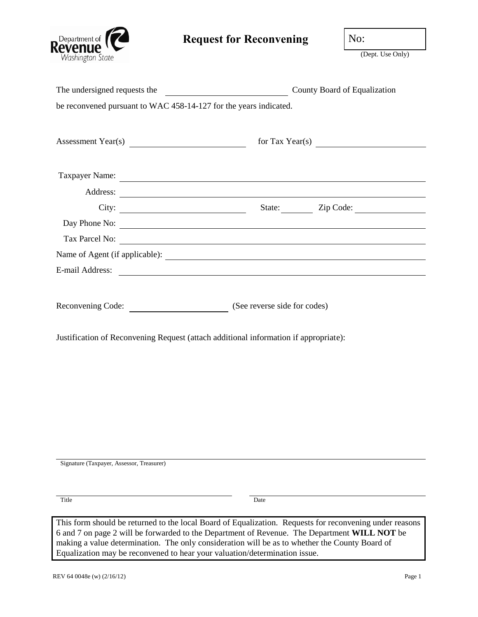

## **Request for Reconvening** No:

(Dept. Use Only)

| The undersigned requests the                                               | County Board of Equalization                                                                                                                                                                                                                                                                              |
|----------------------------------------------------------------------------|-----------------------------------------------------------------------------------------------------------------------------------------------------------------------------------------------------------------------------------------------------------------------------------------------------------|
| be reconvened pursuant to WAC 458-14-127 for the years indicated.          |                                                                                                                                                                                                                                                                                                           |
| Assessment Year(s)                                                         | for Tax Year(s) $\overline{\phantom{a}}$                                                                                                                                                                                                                                                                  |
|                                                                            | Taxpayer Name:                                                                                                                                                                                                                                                                                            |
|                                                                            | Address: <u>and a series of the series of the series of the series of the series of the series of the series of the series of the series of the series of the series of the series of the series of the series of the series of </u>                                                                      |
|                                                                            |                                                                                                                                                                                                                                                                                                           |
|                                                                            |                                                                                                                                                                                                                                                                                                           |
|                                                                            |                                                                                                                                                                                                                                                                                                           |
|                                                                            |                                                                                                                                                                                                                                                                                                           |
|                                                                            | E-mail Address:                                                                                                                                                                                                                                                                                           |
| Reconvening Code: (See reverse side for codes)                             | Justification of Reconvening Request (attach additional information if appropriate):                                                                                                                                                                                                                      |
| Signature (Taxpayer, Assessor, Treasurer)                                  |                                                                                                                                                                                                                                                                                                           |
| Title                                                                      | Date                                                                                                                                                                                                                                                                                                      |
|                                                                            |                                                                                                                                                                                                                                                                                                           |
| Equalization may be reconvened to hear your valuation/determination issue. | This form should be returned to the local Board of Equalization. Requests for reconvening under reasons<br>6 and 7 on page 2 will be forwarded to the Department of Revenue. The Department WILL NOT be<br>making a value determination. The only consideration will be as to whether the County Board of |